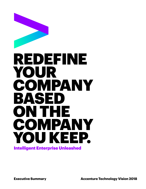

**Executive Summary <b>Accenture Technology Vision 2018**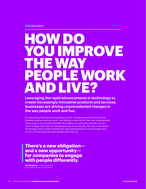Introduction

# HOW DO YOU IMPROVE THE WAY OPLE WORK AND LIVE?

**Leveraging the rapid advancements in technology to create increasingly innovative products and services, businesses are driving unprecedented changes in the way people work and live.**

By embedding themselves throughout society, companies are blurring the lines between business and personal—and blazing a new trail for their own future growth. Technology is now firmly embedded throughout our everyday activities, but its reach is larger than that: it's reshaping pieces of our society. This year's Accenture Technology Vision trends highlight the rapid advancements in technologies that, in turn, are improving the ways people work and live.

## **There's a new obligation and a new opportunity for companies to engage with people differently.**

**Paul Daugherty | Chief Technology** & Innovation Officer at Accenture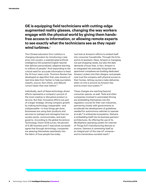### **GE is equipping field technicians with cutting-edge augmented reality glasses, changing the way workers engage with the physical world by giving them handsfree access to information, or allowing remote experts to see exactly what the technicians see as they repair wind turbines.<sup>1</sup>**

The Chinese education firm Liulishuo is changing education by introducing a new actor into society: a sophisticated artificial intelligence (AI)-powered English teacher that delivers personalized, adaptive learning to millions of people.2 And responding to the critical need for accurate information to feed the 24-hour news cycle, Thomson Reuters has developed an algorithm that uses streams of real-time data from Twitter to help journalists classify, source, fact-check, and debunk rumors faster than ever before.<sup>3</sup>

Individually, each of these technology-driven efforts represents a company's pursuit of the most creative or disruptive product or service. But their innovative efforts are part of a larger strategy: driving company growth by making technology inseparable—and indispensable—in how things get done. Businesses are using their products and services to reshape and reimagine how our society works, communicates, and even governs. According to the global Accenture Technology Vision 2018 survey, 84 percent of 6,381 business and IT executives surveyed agree that through technology, companies are weaving themselves seamlessly into the fabric of how people live today.

Just look at Amazon's efforts to embed itself into consumer households. Through the Echo and its AI assistant, Alexa, Amazon is managing not just shopping needs, but also the daily demands of busy lives. In fact, Amazon is so integrated into everyday living that new apartment complexes are building dedicated Amazon Lockers into their designs; and people now trust the company with physical access to their homes, letting couriers make deliveries when no one is around via Amazon Key and its smart lock system.4,5

These changes are reaching beyond consumer spaces, as well. Tesla and other companies involved in automated driving are embedding themselves into the regulatory course for their own industries, partnering closely with governments to accelerate the development of guidelines needed for autonomous vehicles to operate at scale.<sup>6</sup> In enterprise ecosystems, Siemens is embedding itself into its business partners' architectures. By offering the use of its MindSphere operating system for Internet of Things (IoT) manufacturing devices to anyone, Siemens is cementing itself as an integral part of the new IoT universe and its tremendous societal reach.<sup>7</sup>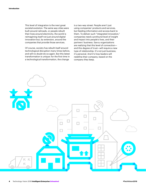This level of integration is the next great societal evolution. The same way cities were built around railroads, or people rebuilt their lives around electricity, the world is reimagining itself not just around digital innovation but, by extension, around the companies that provide those services.

Of course, society has rebuilt itself around technological disruption many times before, and will no doubt do so again. But this latest transformation is unique: for the first time in a technological transformation, the change

is a two-way street. People aren't just using companies' products and services, but feeding information and access back to them. To deliver such "integrated innovation," companies need a profound level of insight and impact into people's lives, and their partners' business. Savvy organizations are realizing that this level of connection and this degree of trust—will require a new type of relationship. It's not just business; it's personal. And it's how leaders will redefine their company, based on the company they keep.

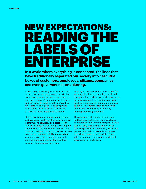# NEW EXPECTATIONS: READING THE LABELS OF ENTERPRISE

**In a world where everything is connected, the lines that have traditionally separated our society into neat little boxes of customers, employees, citizens, companies, and even governments, are blurring.**

Increasingly, in exchange for the access and impact they allow companies to have in their lives, people expect partnerships, based not only on a company's products, but its goals, and its values. In short: people are "reading the labels" of enterprise—and companies must define those labels for themselves, or have the labels determined for them.

These new expectations are creating a strain on businesses that have introduced innovative platforms and services. It's a parallel to the innovative startups that sprang up during the dot-com era, only to be forced to take a step back and flesh out traditional business models: companies that have quickly innovated their way into society are now being pushed to develop clear expectations for how those societal interactions will play out.

Years ago, Uber pioneered a new model for working with drivers, upending transit and transportation models. Now, as it has evolved its business model and relationships with local communities, the company is working to address corporate responsibility in its interactions with drivers, customers, and regulatory organizations.

The premium that people, governments, and business partners put on these labels of enterprise stems from the responsibilities that two-way partnerships create. When those responsibilities aren't met, the results are worse than disappointed customers: the failure creates a society disillusioned with the integrated innovation model that businesses rely on to grow.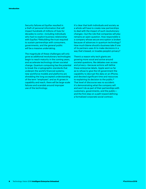Security failures at Equifax resulted in a theft of personal information that will impact hundreds of millions of lives for decades to come—including individuals who had no explicit business relationship with Equifax.<sup>8</sup> Rebuilding the trust required to sustain partnerships with consumers, governments, and the general public will be a massive undertaking.

The magnitude of these challenges will only grow as additional revolutionary technologies begin to reach maturity in the coming years, and accelerate technology-driven societal change. Quantum computing has the potential to break the cryptographic standards that underpin the world's financial systems; new workforce models and platforms are shredding the long-accepted understanding of the term "employee"; and as AI grows in capability and reach, there will be large-scale failures and scandals around improper use of the technology.

It's clear that both individuals and society as a whole will have to create new partnerships to deal with the impact of such revolutionary changes—but the role that companies will play remains an open question. How responsible is a company whose secure encryption is broken because of advances in quantum technology? How much blame should a business take if one of its partners uses AI to make decisions in a way that's biased, or invades people's privacy?

There's a reason why tech giants are growing more vocal and active around societal questions, like debates over access and privacy—because actions will define these enterprise labels. Apple went so far as to refuse to give the US government the capability to decrypt the data on an iPhone, and devoted significant time and resources to explaining its decision to the public.<sup>9</sup> That level of discourse was no accident: it's demonstrating what the company will and won't do as part of their partnerships with customers, governments, and the public and the first step on a path toward defining a formalized corporate social contract.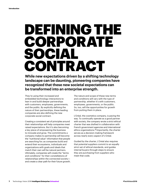# DEFINING THE CORPORATE SOCIAL CONTRACT

**While new expectations driven by a shifting technology landscape can be daunting, pioneering companies have recognized that these new societal expectations can be transformed into an enterprise strength.**

They're using their increased and embedded technology interactions to lean in and build deeper partnerships with customers, employees, governments, and the public. By explicitly defining the nature of their partnerships, these leading companies are also defining the new corporate social contract.

Creating a consistent set of principles around their relationships will help companies meet raised expectations. But it's also becoming a key piece of empowering the business to innovate and grow. The commitments a company makes to partnership will become the "nutritional value" information that people are searching for; as companies build and extend their ecosystems, individuals and organizations with goals and ideals that match their own will be natural partners. Ultimately, companies will create the "terms and conditions" for their constellations of relationships within the connected society and create a clear path for their future growth. The nature and scope of these new terms and conditions will vary with the type of partnership, whether it's with customers, employees, governments, or the public. So, too, will the opportunities for growth from putting them in place.

L'Oréal, the cosmetics company, is paving the way. To continually operate as a good partner with society, the company wrote a strict ethical charter that was drafted in collaboration with French government agencies and international ethics organizations.<sup>10</sup> Importantly, the charter serves as a decision-making framework across nearly every aspect of L'Oréal.

Guided by the charter, L'Oréal also requires that potential suppliers commit to an equally strict set of ethical standards, and guides internal buyers through steps to ensure they are purchasing from suppliers who meet that code.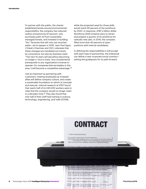To partner with the public, the charter established tenets around environmental responsibility: the company has reduced carbon emissions by 67 percent, only purchases palm oil from sustainably managed forests, and invested in building "dry" factories that will only use recycled water—set to appear in 2018. Jean-Paul Agon, L'Oréal's Chairman and CEO, reiterates that these changes are mandated not merely by conscience, but also by business need. "The next 10 years will see ethics becoming no longer a 'nice to have,' but a fundamental prerequisite to any organization's license to operate. For companies that are leaders in this area, it will become a competitive advantage."<sup>11</sup>

Just as important as partnering with customers, treating employees as invested allies will define company culture, and create a sustainable foundation on which to innovate and execute. Internal research at AT&T found that nearly half of its 240,000 workers were in roles that the company would no longer need in a decade's time.12 They also found that only half of their staff had training in science, technology, engineering, and math (STEM),

while the projected need for those skills would reach 95 percent of the workforce by 2020. In response, AT&T's billion-dollar Workforce 2020 initiative aims to retrain and prepare a quarter of its workforce for radically new jobs. In 2016, the company filled more than 40 percent of open positions with internal candidates.

In defining the responsibilities it will accept with each type of partnership, the enterprise can define a new corporate social contract setting the guideposts for its path forward.

# **CONTRACT**

#### 1. Position; Employment Period

The Company hereby employs the Employee as its . . the Employee hereby agrees to serve in such capacity, for the period beginning<br>the Employee hereby agrees to serve in such capacity, for the period beginning<br>........, and ending on the date on which the Employee's employm nated in accordance with paragraph 8 below (the "Employment Period").

(a) Subject to the following provisions of this Agreement, during the Employ Period the Employee shall be compens ted for his services as follows

(b) He shall neceive ari annual salary, payable in monthly or more frequent instal in an amount which shall initially be per annu to such increase; as may from time to time be deternined by the Company.

[specify pensilonand cother non-salary banefits.]

**88** Technology Vision 2018 **Intelligent Enterprise Unleashed** *EQ is all be etitied to vacations of nt le ss than* $\ldots$  **be year.** 

(d) I- sh all be eitiled if to such other peruis ates is nay be cu storarily grainted by th C amp anyo en nployees of similaran k and positio n.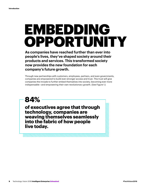# EMBEDDING OPPORTUNITY

**As companies have reached further than ever into people's lives, they've shaped society around their products and services. This transformed society now provides the new foundation for each company's future growth.**

Through new partnerships with customers, employees, partners, and even governments, companies are empowered to build ever-stronger access and trust. This trust will give companies the inroads to further embed themselves into society, becoming ever more indispensable—and empowering their own revolutionary growth. (See Figure 1.)

**84%**

**of executives agree that through technology, companies are weaving themselves seamlessly into the fabric of how people live today.**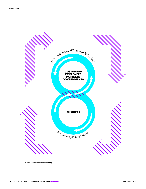

**Figure 1—Positive Feedback Loop.**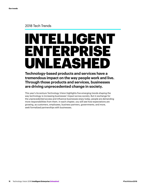### 2018 Tech Trends

# INTELLIGENT ENTERPRISE UNLEASHEI

**Technology-based products and services have a tremendous impact on the way people work and live. Through those products and services, businesses are driving unprecedented change in society.** 

This year's Accenture Technology Vision highlights five emerging trends shaping the way technology is increasing businesses' impact across society. But in exchange for the unprecedented access and influence businesses enjoy today, people are demanding more responsibilities from them. In each chapter, you will see how expectations are growing, as customers, employees, business partners, governments, and more, seek formalized partnerships with businesses.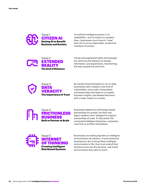

As artificial intelligence grows in its capabilities—and its impact on people's lives—businesses must move to "raise" their AIs to act as responsible, productive members of society.



Virtual and augmented reality technologies are removing the distance to people, information, and experiences, transforming the ways people live and work.



By transforming themselves to run on data, businesses have created a new kind of vulnerability: inaccurate, manipulated, and biased data that leads to corrupted business insights, and skewed decisions with a major impact on society.



Businesses depend on technology-based partnerships for growth, but their own legacy systems aren't designed to support partnerships at scale. To fully power the connected Intelligent Enterprise, companies must first re-architect themselves.



Businesses are making big bets on intelligent environments via robotics, AI and immersive experiences. But to bring these intelligent environments to life, they must extend their infrastructures into the dynamic, real-world environments they want to reach.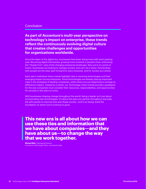#### **Conclusion**

**As part of Accenture's multi-year perspective on technology's impact on enterprise, these trends reflect the continuously evolving digital culture that creates challenges and opportunities for organizations worldwide.** 

Since the dawn of the digital era, businesses have been doing more with each passing year: Becoming digital themselves; growing more involved in people's lives; embracing the "People First" view of the changing enterprise landscape. Now we're at a point of fusion: businesses are looking to reshape society, and can't do it alone. Partnerships with people are the clear path forward for every business, and for society as a whole.

Each year's individual Vision trends highlight new or evolving technologies and their emerging impact across enterprise. Some technologies are already playing important roles in the strategies of leading companies, while others are just beginning to emerge as difference-makers. Viewed as a whole, our Technology Vision trends provide a guidepost for the way companies must consider their resources, responsibilities, and opportunities for success in the years to come.

With businesses shaping change throughout the world, being a leader isn't just about incorporating new technologies. It's about the ways you partner throughout everyday life with people to improve lives and shape society—and in so doing, build the foundation on which you'll continue to grow.

**This new era is all about how we can use these ties and information that we have about companies—and they have about us—to change the way that we work together.**

**Michael Biltz | Managing Director,** Accenture Technology Vision—Accenture Labs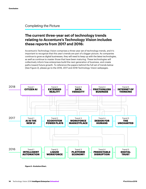#### Completing the Picture

### **The current three-year set of technology trends relating to Accenture's Technology Vision includes these reports from 2017 and 2016:**

Accenture's Technology Vision comprises a three-year set of technology trends, and it's important to recognize that this year's trends are part of a bigger picture. As companies continue to grow as digital businesses, they will need to keep up with the latest technologies, as well as continue to master those that have been maturing. These technologies will collectively inform how enterprises build the next generation of business, and create paths toward future growth. To reference the papers behind the full set of trends below (See Figure 2), please go to the [2016,](https://www.accenture.com/gb-en/insight-technology-trends-2016) [2017](https://www.accenture.com/us-en/insight-disruptive-technology-trends-2017) and [2018](http://www.accenture.com/techvision) Technology Vision webpages.



**Figure 2—Evolution Chart.**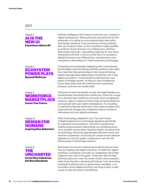#### 2017



Artificial intelligence (AI) is about to become your company's digital spokesperson. Moving beyond a backend tool for the enterprise, AI is taking on more sophisticated roles within technology interfaces. From autonomous driving vehicles that use computer vision, to live translations made possible by artificial neural networks, AI is making every interface both simple and smart—and setting a high bar for how future interactions will work. It will act as the face of a company's digital brand and a key differentiator—and become a core competency demanding of C-level investment and strategy.

#### Trend 2 ECOSYSTEM POWER PLAYS Beyond Platforms

Companies are increasingly integrating their core business functionalities with third parties and their platforms. But rather than treat them like partnerships of old, forward-thinking leaders leverage these relationships to build their role in new digital ecosystems—instrumental to unlocking their next waves of strategic growth. As they do, they're designing future value chains that will transform their businesses, products, and even the market itself.

#### Trend 3 **WORKFORCE**  MARKETPLACE Invent Your Future

Trend 4 DESIGN FOR HUMANS Inspiring New Behaviors The future of work has already arrived, and digital leaders are fundamentally reinventing their workforces. Driven by a surge of on-demand labor platforms and online work management solutions, legacy models and hierarchies are being dissolved and replaced with open talent marketplaces. This resulting on-demand enterprise will be key to the rapid innovation and organizational changes that companies need to transform themselves into truly digital businesses.

What if technology adapted to you? The new frontier of digital experiences is technology designed specifically for individual human behavior. This shift is transforming traditional personalized relationships into something much more valuable: partnerships. Business leaders recognize that as technology shrinks the gap between effective human and machine cooperation, accounting for unique human behavior expands not only the quality of experience, but also the effectiveness of technology solutions.

Trend 5 THE UNCHARTED Invent New Industries, Set New Standards

Businesses are not just creating new products and services; they are shaping new digital industries. To fulfill their digital ambitions, companies must take on a leadership role to help shape the new rules of the game. Those who take the lead will find a place at or near the center of their new ecosystem, while those that don't risk being left behind. From technology standards to ethical norms to government mandates, in an ecosystem-driven digital economy, one thing is clear: a wide scope of rules still needs to be defined.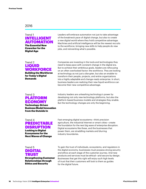#### 2016

Digital Age

#### Trend 1 INTELLIGENT AUTOMATION The Essential New Coworker for the

Leaders will embrace automation not just to take advantage of the breakneck pace of digital change, but also to create a new digital world where they hold competitive advantage. Machines and artificial intelligence will be the newest recruits to the workforce, bringing new skills to help people do new jobs, and reinventing what's possible.

#### Trend 2 LIQUID WORKFORCE Building the Workforce

for Today's Digital **Demands** 

Companies are investing in the tools and technologies they need to keep pace with constant change in the digital era. But to achieve their ambitious goals, leaders are refocusing on an often overlooked factor: the workforce. They are looking at technology as not just a disrupter, but also an enabler to transform their people, projects, and entire organizations into a highly adaptable and change-ready enterprise. In short, business leaders are realizing their new liquid workforce can become their new competitive advantage.

### Trend 3 PLATFORM ECONOMY

Technology-Driven Business Model Innovation from the Outside In

Industry leaders are unleashing technology's power by developing not only new technology platforms, but also the platform-based business models and strategies they enable. But the technology changes are only the beginning.

#### Trend 4 PREDICTABLE DISRUPTION Looking to Digital

Ecosystems for the Next Waves of Change

Fast-emerging digital ecosystems—think precision agriculture, the industrial Internet or smart cities—create the foundation for the next big wave of enterprise disruption. Digital ecosystems like these, and the businesses that power them, are straddling markets and blurring industry boundaries.

Trend 5 DIGITAL TRUST Strengthening Customer

Relationships through Ethics and Security

To gain the trust of individuals, ecosystems, and regulators in the digital economy, businesses must possess strong security and ethics at each stage of the customer journey. And new products and services must be ethical—and secure-by-design. Businesses that get this right will enjoy such high levels of trust that their customers will look to them as guides for the digital future.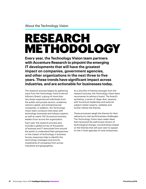#### About the Technology Vision

# RESEARCH METHODOLOGY

**Every year, the Technology Vision team partners with Accenture Research to pinpoint the emerging IT developments that will have the greatest impact on companies, government agencies, and other organizations in the next three to five years. These trends have significant impact across industries, and are actionable for businesses today.**

The research process begins by gathering input from the Technology Vision External Advisory Board, a group of more than two dozen experienced individuals from the public and private sectors, academia, venture capital, and entrepreneurial companies. In addition, the Technology Vision team conducts interviews with technology luminaries and industry experts, as well as nearly 100 Accenture business leaders from across the organization.

Each year, the research process also includes a global survey of thousands of business and IT executives from around the world, to understand their perspectives on the impact of technology in business. Survey responses help to identify the technology strategies and priority investments of companies from across industries and geographies.

As a shortlist of themes emerges from the research process, the Technology Vision team reconvenes its advisory board. The board's workshop, a series of 'deep-dive' sessions with Accenture leadership and external subject-matter experts, validates and further refines the themes.

These processes weigh the themes for their relevance to real-world business challenges. The Technology Vision team seeks ideas that transcend the well-known drivers of technological change, concentrating instead on the themes that will soon start to appear on the C-level agendas of most enterprises.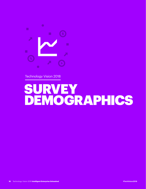

Technology Vision 2018

# SURVEY DEMOGRAPHICS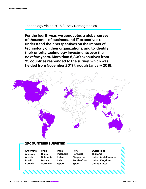#### Technology Vision 2018 Survey Demographics

**For the fourth year, we conducted a global survey of thousands of business and IT executives to understand their perspectives on the impact of technology on their organizations, and to identify their priority technology investments over the next few years. More than 6,300 executives from 25 countries responded to the survey, which was fielded from November 2017 through January 2018.**



#### 25 COUNTRIES SURVEYED

**Chile**

**Argentina Australia Austria Brazil Canada**

**China Columbia France Germany**

**India Indonesia Ireland Italy Japan**

**Peru Portugal Singapore South Africa Spain**

**Switzerland Thailand United Arab Emirates United Kingdom United States**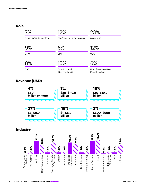### **Role**



### **Revenue (USD)**



### **Industry**

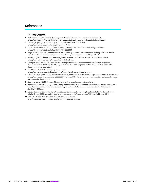#### References

#### **INTRODUCTION**

- **1** [Kloberdanz, K. \(2017, May 25\). How Augmented Reality Glasses Are Being Used in Industry. GE.](https://www.ge.com/reports/looking-smart-augmented-reality-seeing-real-results-industry-today/)  <https://www.ge.com/reports/looking-smart-augmented-reality-seeing-real-results-industry-today/>
- **2** [Millward, S. \(2017, July 27\). "AI English Teacher" Gets \\$100M. Tech in Asia.](https://www.techinasia.com/ai-english-teacher-100m)  <https://www.techinasia.com/ai-english-teacher-100m>
- **3** [Liu, X., Nourbakhsh, A., Li, Q., & Shah, S. \(2015, October\). Real-Time Rumor Debunking on Twitter.](https://dl.acm.org/citation.cfm?doid=2806416.2806651)  <https://dl.acm.org/citation.cfm?doid=2806416.2806651>
- **4** [Vega, N. \(2017, July 28\). Amazon Wants to Install Delivery Lockers in Your Apartment Building. Business Insider.](http://www.businessinsider.com/amazon-hub-delivery-locker-apartment-buildings-2017-7)  <http://www.businessinsider.com/amazon-hub-delivery-locker-apartment-buildings-2017-7>
- **5** [Barrett, B. \(2017, October 25\). Amazon Key Puts Deliveries—and Delivery People—in Your Home. Wired.](https://www.wired.com/story/amazon-key-and-cloud-cam/)  <https://www.wired.com/story/amazon-key-and-cloud-cam/>
- **6** [Dellinger, AJ. \(2016, June 6\). Tesla May Be Sharing Data with the Government to Help Advance Regulation on](https://www.dailydot.com/debug/tesla-motors-autopilot-data-offered-to-department-of-transportation/)  [Autopilot Vehicles. The Daily Dot. https://www.dailydot.com/debug/tesla-motors-autopilot-data-offered-to](https://www.dailydot.com/debug/tesla-motors-autopilot-data-offered-to-department-of-transportation/)[department-of-transportation/](https://www.dailydot.com/debug/tesla-motors-autopilot-data-offered-to-department-of-transportation/)
- **7** [MindSphere: Data to Knowledge. \(n.d.\). Siemens.](https://www.siemens.com/global/en/home/products/software/mindsphere.html)  <https://www.siemens.com/global/en/home/products/software/mindsphere.html>
- **8** [Malik, J. \(2017, September 28\). If Data Is the New Oil, Then Equifax Just Caused a Huge Environmental Disaster. CSO.](https://www.csoonline.com/article/3228887/data-breach/if-data-is-the-new-oil-then-equifax-just-caused-a-huge-environmental-disaster.html)  [https://www.csoonline.com/article/3228887/data-breach/if-data-is-the-new-oil-then-equifax-just-caused-a-huge](https://www.csoonline.com/article/3228887/data-breach/if-data-is-the-new-oil-then-equifax-just-caused-a-huge-environmental-disaster.html)[environmental-disaster.html](https://www.csoonline.com/article/3228887/data-breach/if-data-is-the-new-oil-then-equifax-just-caused-a-huge-environmental-disaster.html)
- **9** [Customer Letter. \(2016, February 16\). Apple. http://www.apple.com/customer-letter/](http://www.apple.com/customer-letter/)
- **10** [Alvarez, C. \(2017, October 27\). L'Oréal Championne Mondiale du Développement Durable, Selon le CDP. Novethic.](http://www.novethic.fr/empreinte-terre/climat/isr-rse/l-oreal-championne-mondiale-du-developpement-durable-144955.html)  [http://www.novethic.fr/empreinte-terre/climat/isr-rse/l-oreal-championne-mondiale-du-developpement](http://www.novethic.fr/empreinte-terre/climat/isr-rse/l-oreal-championne-mondiale-du-developpement-durable-144955.html)[durable-144955.html](http://www.novethic.fr/empreinte-terre/climat/isr-rse/l-oreal-championne-mondiale-du-developpement-durable-144955.html)
- **11** [L'Oréal Named as One of the World's Most Ethical Companies by the Ethisphere Institute for the Seventh Time.](http://www.loreal.com/media/press-releases/2016/mar/ethispere-2016)  [L'Oréal Group. \(2016, March 7\). http://www.loreal.com/media/press-releases/2016/mar/ethispere-2016](http://www.loreal.com/media/press-releases/2016/mar/ethispere-2016)
- **12** [Can AT&T Retrain 100,000 People? \(2017, March 15\). Fortune.](http://fortune.com/att-hr-retrain-employees-jobs-best-companies/)  <http://fortune.com/att-hr-retrain-employees-jobs-best-companies/>